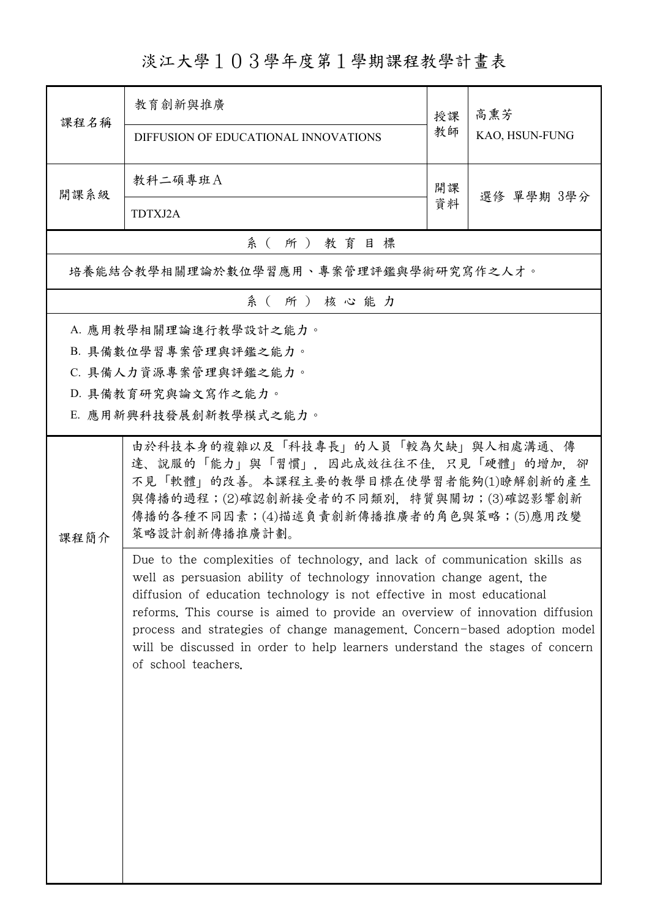淡江大學103學年度第1學期課程教學計畫表

| 課程名稱 | 教育创新與推廣                                                                                                                                                                                                                                                                                                                                                                                                                                                                                           | 授課               | 高熏芳<br>KAO, HSUN-FUNG |  |  |  |  |
|------|---------------------------------------------------------------------------------------------------------------------------------------------------------------------------------------------------------------------------------------------------------------------------------------------------------------------------------------------------------------------------------------------------------------------------------------------------------------------------------------------------|------------------|-----------------------|--|--|--|--|
|      | DIFFUSION OF EDUCATIONAL INNOVATIONS                                                                                                                                                                                                                                                                                                                                                                                                                                                              | 教師               |                       |  |  |  |  |
| 開課系級 | 教科二碩專班A                                                                                                                                                                                                                                                                                                                                                                                                                                                                                           | 開課<br>選修 單學期 3學分 |                       |  |  |  |  |
|      | TDTXJ2A                                                                                                                                                                                                                                                                                                                                                                                                                                                                                           | 資料               |                       |  |  |  |  |
|      | 系(所)教育目標                                                                                                                                                                                                                                                                                                                                                                                                                                                                                          |                  |                       |  |  |  |  |
|      | 培養能結合教學相關理論於數位學習應用、專案管理評鑑與學術研究寫作之人才。                                                                                                                                                                                                                                                                                                                                                                                                                                                              |                  |                       |  |  |  |  |
|      | 系(所)核心能力                                                                                                                                                                                                                                                                                                                                                                                                                                                                                          |                  |                       |  |  |  |  |
|      | A. 應用教學相關理論進行教學設計之能力。                                                                                                                                                                                                                                                                                                                                                                                                                                                                             |                  |                       |  |  |  |  |
|      | B. 具備數位學習專案管理與評鑑之能力。                                                                                                                                                                                                                                                                                                                                                                                                                                                                              |                  |                       |  |  |  |  |
|      | C. 具備人力資源專案管理與評鑑之能力。                                                                                                                                                                                                                                                                                                                                                                                                                                                                              |                  |                       |  |  |  |  |
|      | D. 具備教育研究與論文寫作之能力。                                                                                                                                                                                                                                                                                                                                                                                                                                                                                |                  |                       |  |  |  |  |
|      | E. 應用新興科技發展創新教學模式之能力。                                                                                                                                                                                                                                                                                                                                                                                                                                                                             |                  |                       |  |  |  |  |
|      | 由於科技本身的複雜以及「科技專長」的人員「較為欠缺」與人相處溝通、傳<br>達、說服的「能力」與「習慣」, 因此成效往往不佳, 只見「硬體」的增加, 卻<br>不見「軟體」的改善。本課程主要的教學目標在使學習者能夠(1)瞭解創新的產生                                                                                                                                                                                                                                                                                                                                                                             |                  |                       |  |  |  |  |
| 課程簡介 | 與傳播的過程;(2)確認創新接受者的不同類別,特質與關切;(3)確認影響創新<br>傳播的各種不同因素;(4)描述負責創新傳播推廣者的角色與策略;(5)應用改變<br>策略設計創新傳播推廣計劃。                                                                                                                                                                                                                                                                                                                                                                                                 |                  |                       |  |  |  |  |
|      | Due to the complexities of technology, and lack of communication skills as<br>well as persuasion ability of technology innovation change agent, the<br>diffusion of education technology is not effective in most educational<br>reforms. This course is aimed to provide an overview of innovation diffusion<br>process and strategies of change management. Concern-based adoption model<br>will be discussed in order to help learners understand the stages of concern<br>of school teachers. |                  |                       |  |  |  |  |
|      |                                                                                                                                                                                                                                                                                                                                                                                                                                                                                                   |                  |                       |  |  |  |  |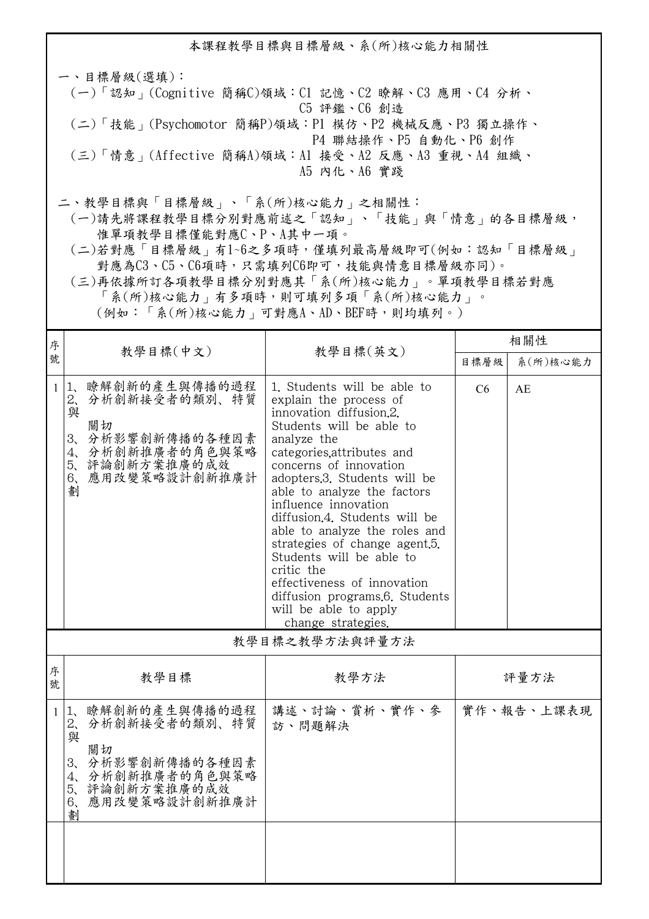一、目標層級(選填): (一)「認知」(Cognitive 簡稱C)領域:C1 記憶、C2 瞭解、C3 應用、C4 分析、 C5 評鑑、C6 創造 (二)「技能」(Psychomotor 簡稱P)領域:P1 模仿、P2 機械反應、P3 獨立操作、 P4 聯結操作、P5 自動化、P6 創作 (三)「情意」(Affective 簡稱A)領域:A1 接受、A2 反應、A3 重視、A4 組織、 A5 內化、A6 實踐 二、教學目標與「目標層級」、「系(所)核心能力」之相關性:

 (一)請先將課程教學目標分別對應前述之「認知」、「技能」與「情意」的各目標層級, 惟單項教學目標僅能對應C、P、A其中一項。

 (二)若對應「目標層級」有1~6之多項時,僅填列最高層級即可(例如:認知「目標層級」 對應為C3、C5、C6項時,只需填列C6即可,技能與情意目標層級亦同)。

 (三)再依據所訂各項教學目標分別對應其「系(所)核心能力」。單項教學目標若對應 「系(所)核心能力」有多項時,則可填列多項「系(所)核心能力」。

(例如:「系(所)核心能力」可對應A、AD、BEF時,則均填列。)

| 序<br>號         |                                                                                                                                                      |                                                                                                                                                                                                                                                                                                                                                                                                                                                                                                                                         | 相關性  |            |  |  |
|----------------|------------------------------------------------------------------------------------------------------------------------------------------------------|-----------------------------------------------------------------------------------------------------------------------------------------------------------------------------------------------------------------------------------------------------------------------------------------------------------------------------------------------------------------------------------------------------------------------------------------------------------------------------------------------------------------------------------------|------|------------|--|--|
|                | 教學目標(中文)                                                                                                                                             | 教學目標(英文)                                                                                                                                                                                                                                                                                                                                                                                                                                                                                                                                | 目標層級 | 系(所)核心能力   |  |  |
| $\mathbf{1}$   | 1、瞭解創新的產生與傳播的過程<br>2、分析創新接受者的類別、特質<br>與<br>關切<br>3、分析影響創新傳播的各種因素<br>4、分析創新推廣者的角色與策略<br>5、評論創新方案推廣的成效<br>應用改變策略設計創新推廣計<br>6,<br>劃                     | 1. Students will be able to<br>explain the process of<br>innovation diffusion.2.<br>Students will be able to<br>analyze the<br>categories, attributes and<br>concerns of innovation<br>adopters.3. Students will be<br>able to analyze the factors<br>influence innovation<br>diffusion.4. Students will be<br>able to analyze the roles and<br>strategies of change agent.5.<br>Students will be able to<br>critic the<br>effectiveness of innovation<br>diffusion programs.6. Students<br>will be able to apply<br>change strategies. | C6   | AE         |  |  |
| 教學目標之教學方法與評量方法 |                                                                                                                                                      |                                                                                                                                                                                                                                                                                                                                                                                                                                                                                                                                         |      |            |  |  |
| 序號             | 教學目標                                                                                                                                                 | 教學方法                                                                                                                                                                                                                                                                                                                                                                                                                                                                                                                                    |      | 評量方法       |  |  |
| $\mathbf{1}$   | 1、瞭解創新的產生與傳播的過程<br>2、分析創新接受者的類別、特質<br>與<br>關切<br>分析影響創新傳播的各種因素<br>3 <sub>1</sub><br>4、分析創新推廣者的角色與策略<br>5、評論創新方案推廣的成效<br>應用改變策略設計創新推廣計<br>$6\sqrt{2}$ | 講述、討論、賞析、實作、參<br>訪、問題解決                                                                                                                                                                                                                                                                                                                                                                                                                                                                                                                 |      | 實作、報告、上課表現 |  |  |

劃

本課程教學目標與目標層級、系(所)核心能力相關性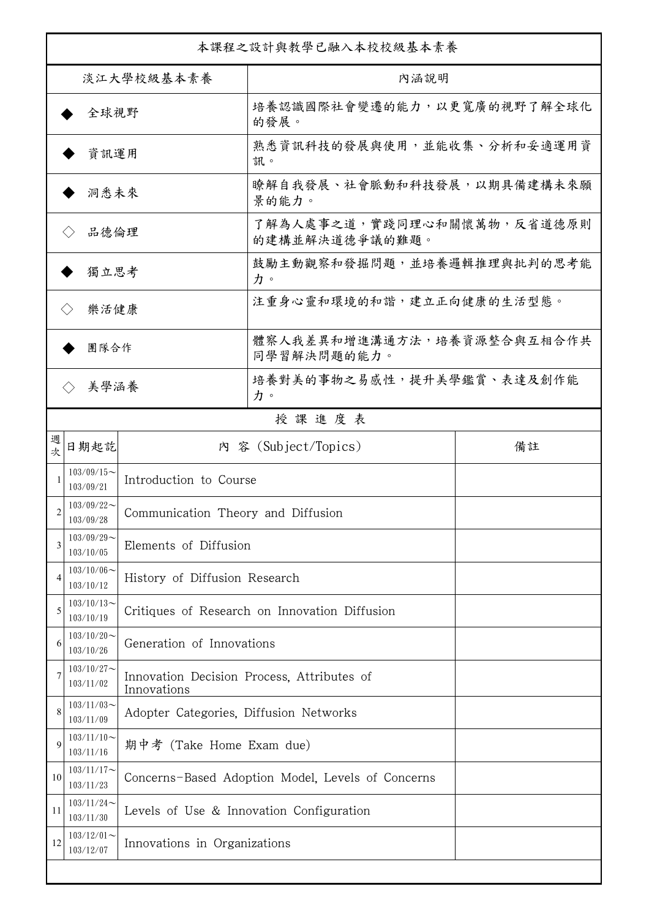| 本課程之設計與教學已融入本校校級基本素養      |                            |                                                           |                                               |    |  |
|---------------------------|----------------------------|-----------------------------------------------------------|-----------------------------------------------|----|--|
| 淡江大學校級基本素養                |                            |                                                           | 內涵說明                                          |    |  |
| 全球視野                      |                            |                                                           | 培養認識國際社會變遷的能力,以更寬廣的視野了解全球化<br>的發展。            |    |  |
| 資訊運用                      |                            |                                                           | 熟悉資訊科技的發展與使用,並能收集、分析和妥適運用資<br>訊。              |    |  |
| 洞悉未來                      |                            |                                                           | 瞭解自我發展、社會脈動和科技發展,以期具備建構未來願<br>景的能力。           |    |  |
| 品德倫理                      |                            |                                                           | 了解為人處事之道,實踐同理心和關懷萬物,反省道德原則<br>的建構並解決道德爭議的難題。  |    |  |
| 獨立思考                      |                            |                                                           | 鼓勵主動觀察和發掘問題,並培養邏輯推理與批判的思考能<br>力。              |    |  |
| 樂活健康<br>$\langle \rangle$ |                            |                                                           | 注重身心靈和環境的和諧,建立正向健康的生活型態。                      |    |  |
| 團隊合作                      |                            |                                                           | 體察人我差異和增進溝通方法,培養資源整合與互相合作共<br>同學習解決問題的能力。     |    |  |
| 美學涵養                      |                            |                                                           | 培養對美的事物之易感性,提升美學鑑賞、表達及創作能<br>力。               |    |  |
|                           |                            |                                                           | 授課進度表                                         |    |  |
| 週<br>欤                    | 日期起訖                       |                                                           | 內 容 (Subject/Topics)                          | 備註 |  |
|                           | $103/09/15$ ~<br>103/09/21 | Introduction to Course                                    |                                               |    |  |
| 2                         | $103/09/22$ ~<br>103/09/28 | Communication Theory and Diffusion                        |                                               |    |  |
|                           | $103/09/29$ ~<br>103/10/05 | Elements of Diffusion                                     |                                               |    |  |
|                           | $103/10/06$ ~<br>103/10/12 | History of Diffusion Research                             |                                               |    |  |
| 5                         | $103/10/13$ ~<br>103/10/19 |                                                           | Critiques of Research on Innovation Diffusion |    |  |
| 6                         | $103/10/20$ ~<br>103/10/26 | Generation of Innovations                                 |                                               |    |  |
|                           | $103/10/27$ ~<br>103/11/02 | Innovation Decision Process, Attributes of<br>Innovations |                                               |    |  |
| 8                         | $103/11/03$ ~<br>103/11/09 | Adopter Categories, Diffusion Networks                    |                                               |    |  |
| 9                         | $103/11/10$ ~<br>103/11/16 | 期中考 (Take Home Exam due)                                  |                                               |    |  |
| 10                        | $103/11/17$ ~<br>103/11/23 | Concerns-Based Adoption Model, Levels of Concerns         |                                               |    |  |
| 11                        | $103/11/24$ ~<br>103/11/30 | Levels of Use & Innovation Configuration                  |                                               |    |  |
| 12                        | $103/12/01$ ~<br>103/12/07 | Innovations in Organizations                              |                                               |    |  |
|                           |                            |                                                           |                                               |    |  |